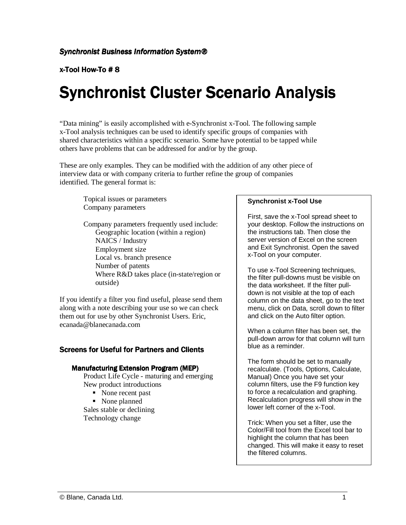x-Tool How-To # 8

# **Synchronist Cluster Scenario Analysis**

"Data mining" is easily accomplished with e-Synchronist x-Tool. The following sample x-Tool analysis techniques can be used to identify specific groups of companies with shared characteristics within a specific scenario. Some have potential to be tapped while others have problems that can be addressed for and/or by the group.

These are only examples. They can be modified with the addition of any other piece of interview data or with company criteria to further refine the group of companies identified. The general format is:

Topical issues or parameters Company parameters

Company parameters frequently used include: Geographic location (within a region) NAICS / Industry Employment size Local vs. branch presence Number of patents Where R&D takes place (in-state/region or outside)

If you identify a filter you find useful, please send them along with a note describing your use so we can check them out for use by other Synchronist Users. Eric, ecanada@blanecanada.com

# **Screens for Useful for Partners and Clients**

# Manufacturing Extension Program (MEP)

Product Life Cycle - maturing and emerging New product introductions

- None recent past
- None planned

Sales stable or declining Technology change

# **Synchronist x-Tool Use**

First, save the x-Tool spread sheet to your desktop. Follow the instructions on the instructions tab. Then close the server version of Excel on the screen and Exit Synchronist. Open the saved x-Tool on your computer.

To use x-Tool Screening techniques, the filter pull-downs must be visible on the data worksheet. If the filter pulldown is not visible at the top of each column on the data sheet, go to the text menu, click on Data, scroll down to filter and click on the Auto filter option.

When a column filter has been set, the pull-down arrow for that column will turn blue as a reminder.

The form should be set to manually recalculate. (Tools, Options, Calculate, Manual) Once you have set your column filters, use the F9 function key to force a recalculation and graphing. Recalculation progress will show in the lower left corner of the x-Tool.

Trick: When you set a filter, use the Color/Fill tool from the Excel tool bar to highlight the column that has been changed. This will make it easy to reset the filtered columns.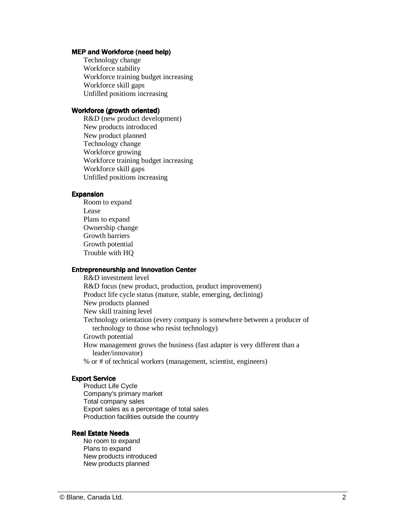## MEP and Workforce (need help)

Technology change Workforce stability Workforce training budget increasing Workforce skill gaps Unfilled positions increasing

### Workforce (growth oriented)

R&D (new product development) New products introduced New product planned Technology change Workforce growing Workforce training budget increasing Workforce skill gaps Unfilled positions increasing

#### **Expansion**

Room to expand Lease Plans to expand Ownership change Growth barriers Growth potential Trouble with HQ

# Entrepreneurship and Innovation Center

R&D investment level R&D focus (new product, production, product improvement) Product life cycle status (mature, stable, emerging, declining) New products planned New skill training level Technology orientation (every company is somewhere between a producer of technology to those who resist technology) Growth potential How management grows the business (fast adapter is very different than a leader/innovator) % or # of technical workers (management, scientist, engineers)

#### **Export Service**

Product Life Cycle Company's primary market Total company sales Export sales as a percentage of total sales Production facilities outside the country

#### **Real Estate Needs**

No room to expand Plans to expand New products introduced New products planned